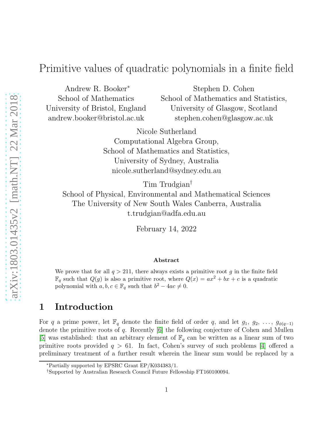# Primitive values of quadratic polynomials in a finite field

Andrew R. Booker<sup>∗</sup> School of Mathematics University of Bristol, England andrew.booker@bristol.ac.uk

Stephen D. Cohen School of Mathematics and Statistics, University of Glasgow, Scotland stephen.cohen@glasgow.ac.uk

Nicole Sutherland Computational Algebra Group, School of Mathematics and Statistics, University of Sydney, Australia nicole.sutherland@sydney.edu.au

Tim Trudgian†

School of Physical, Environmental and Mathematical Sciences The University of New South Wales Canberra, Australia t.trudgian@adfa.edu.au

February 14, 2022

#### Abstract

We prove that for all  $q > 211$ , there always exists a primitive root g in the finite field  $\mathbb{F}_q$  such that  $Q(g)$  is also a primitive root, where  $Q(x) = ax^2 + bx + c$  is a quadratic polynomial with  $a, b, c \in \mathbb{F}_q$  such that  $b^2 - 4ac \neq 0$ .

#### 1 Introduction

For q a prime power, let  $\mathbb{F}_q$  denote the finite field of order q, and let  $g_1, g_2, \ldots, g_{\phi(q-1)}$ denote the primitive roots of q. Recently [\[6\]](#page-10-0) the following conjecture of Cohen and Mullen [\[5\]](#page-10-1) was established: that an arbitrary element of  $\mathbb{F}_q$  can be written as a linear sum of two primitive roots provided  $q > 61$ . In fact, Cohen's survey of such problems [\[4\]](#page-10-2) offered a preliminary treatment of a further result wherein the linear sum would be replaced by a

<sup>∗</sup>Partially supported by EPSRC Grant EP/K034383/1.

<sup>†</sup>Supported by Australian Research Council Future Fellowship FT160100094.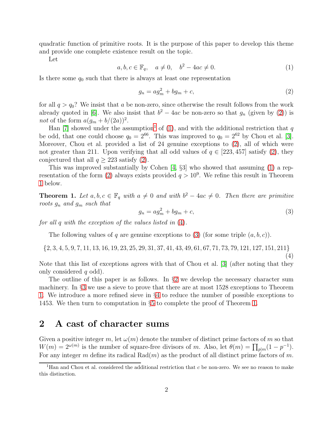quadratic function of primitive roots. It is the purpose of this paper to develop this theme and provide one complete existence result on the topic.

Let

<span id="page-1-2"></span> $a, b, c \in \mathbb{F}_q, \quad a \neq 0, \quad b^2 - 4ac \neq 0.$  (1)

Is there some  $q_0$  such that there is always at least one representation

<span id="page-1-0"></span>
$$
g_n = a g_m^2 + b g_m + c,\tag{2}
$$

for all  $q > q_0$ ? We insist that a be non-zero, since otherwise the result follows from the work already quoted in [\[6\]](#page-10-0). We also insist that  $b^2 - 4ac$  be non-zero so that  $g_n$  (given by [\(2\)](#page-1-0)) is not of the form  $a(g_m + b/(2a))^2$ .

Han [\[7\]](#page-11-0) showed under the assumption<sup>[1](#page-1-1)</sup> of [\(1\)](#page-1-2), and with the additional restriction that q be odd, that one could choose  $q_0 = 2^{66}$ . This was improved to  $q_0 = 2^{62}$  by Chou et al. [\[3\]](#page-10-3). Moreover, Chou et al. provided a list of 24 genuine exceptions to [\(2\)](#page-1-0), all of which were not greater than 211. Upon verifying that all odd values of  $q \in [223, 457]$  satisfy [\(2\)](#page-1-0), they conjectured that all  $q > 223$  satisfy [\(2\)](#page-1-0).

This was improved substantially by Cohen [\[4,](#page-10-2) §3] who showed that assuming [\(1\)](#page-1-2) a rep-resentation of the form [\(2\)](#page-1-0) always exists provided  $q > 10^9$ . We refine this result in Theorem [1](#page-1-3) below.

<span id="page-1-3"></span>**Theorem 1.** Let  $a, b, c \in \mathbb{F}_q$  with  $a \neq 0$  and with  $b^2 - 4ac \neq 0$ . Then there are primitive *roots* g<sup>n</sup> *and* g<sup>m</sup> *such that*

<span id="page-1-5"></span>
$$
g_n = a g_m^2 + b g_m + c,\tag{3}
$$

(4)

*for all* q *with the exception of the values listed in* [\(4\)](#page-1-4)*.*

The following values of q are genuine exceptions to [\(3\)](#page-1-5) (for some triple  $(a, b, c)$ ).

<span id="page-1-4"></span> $\{2, 3, 4, 5, 9, 7, 11, 13, 16, 19, 23, 25, 29, 31, 37, 41, 43, 49, 61, 67, 71, 73, 79, 121, 127, 151, 211\}$ 

Note that this list of exceptions agrees with that of Chou et al. [\[3\]](#page-10-3) (after noting that they only considered  $q$  odd).

The outline of this paper is as follows. In  $\S2$  $\S2$  we develop the necessary character sum machinery. In §[3](#page-3-0) we use a sieve to prove that there are at most 1528 exceptions to Theorem [1.](#page-1-3) We introduce a more refined sieve in §[4](#page-5-0) to reduce the number of possible exceptions to 1453. We then turn to computation in §[5](#page-7-0) to complete the proof of Theorem [1.](#page-1-3)

#### <span id="page-1-6"></span>2 A cast of character sums

Given a positive integer m, let  $\omega(m)$  denote the number of distinct prime factors of m so that  $W(m) = 2^{\omega(m)}$  is the number of square-free divisors of m. Also, let  $\theta(m) = \prod_{p|m} (1 - p^{-1})$ . For any integer m define its radical  $Rad(m)$  as the product of all distinct prime factors of m.

<span id="page-1-1"></span><sup>&</sup>lt;sup>1</sup>Han and Chou et al. considered the additional restriction that  $c$  be non-zero. We see no reason to make this distinction.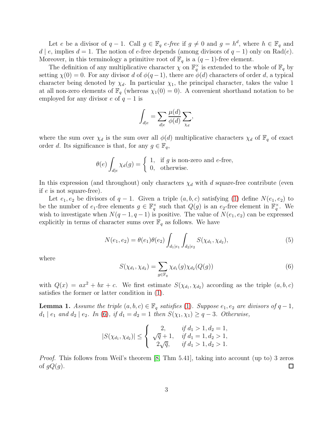Let e be a divisor of  $q-1$ . Call  $g \in \mathbb{F}_q$  e-free if  $g \neq 0$  and  $g = h^d$ , where  $h \in \mathbb{F}_q$  and d | e, implies  $d = 1$ . The notion of e-free depends (among divisors of  $q - 1$ ) only on Rad(e). Moreover, in this terminology a primitive root of  $\mathbb{F}_q$  is a  $(q-1)$ -free element.

The definition of any multiplicative character  $\chi$  on  $\mathbb{F}_q^{\times}$  is extended to the whole of  $\mathbb{F}_q$  by setting  $\chi(0) = 0$ . For any divisor d of  $\phi(q-1)$ , there are  $\phi(d)$  characters of order d, a typical character being denoted by  $\chi_d$ . In particular  $\chi_1$ , the principal character, takes the value 1 at all non-zero elements of  $\mathbb{F}_q$  (whereas  $\chi_1(0) = 0$ ). A convenient shorthand notation to be employed for any divisor e of  $q-1$  is

$$
\int_{d|e} = \sum_{d|e} \frac{\mu(d)}{\phi(d)} \sum_{\chi_d},
$$

where the sum over  $\chi_d$  is the sum over all  $\phi(d)$  multiplicative characters  $\chi_d$  of  $\mathbb{F}_q$  of exact order d. Its significance is that, for any  $g \in \mathbb{F}_q$ ,

$$
\theta(e) \int_{d|e} \chi_d(g) = \begin{cases} 1, & \text{if } g \text{ is non-zero and } e \text{-free,} \\ 0, & \text{otherwise.} \end{cases}
$$

In this expression (and throughout) only characters  $\chi_d$  with d square-free contribute (even if e is not square-free).

Let  $e_1, e_2$  be divisors of  $q-1$ . Given a triple  $(a, b, c)$  satisfying [\(1\)](#page-1-2) define  $N(e_1, e_2)$  to be the number of  $e_1$ -free elements  $g \in \mathbb{F}_q^{\times}$  such that  $Q(g)$  is an  $e_2$ -free element in  $\mathbb{F}_q^{\times}$ . We wish to investigate when  $N(q-1, q-1)$  is positive. The value of  $N(e_1, e_2)$  can be expressed explicitly in terms of character sums over  $\mathbb{F}_q$  as follows. We have

<span id="page-2-2"></span>
$$
N(e_1, e_2) = \theta(e_1)\theta(e_2) \int_{d_1|e_1} \int_{d_2|e_2} S(\chi_{d_1}, \chi_{d_2}), \tag{5}
$$

where

<span id="page-2-0"></span>
$$
S(\chi_{d_1}, \chi_{d_2}) = \sum_{g \in \mathbb{F}_q} \chi_{d_1}(g) \chi_{d_2}(Q(g))
$$
\n(6)

with  $Q(x) = ax^2 + bx + c$ . We first estimate  $S(\chi_{d_1}, \chi_{d_2})$  according as the triple  $(a, b, c)$ satisfies the former or latter condition in [\(1\)](#page-1-2).

<span id="page-2-1"></span>**Lemma 1.** Assume the triple  $(a, b, c) \in \mathbb{F}_q$  satisfies [\(1\)](#page-1-2). Suppose  $e_1, e_2$  are divisors of  $q - 1$ ,  $d_1 | e_1$  *and*  $d_2 | e_2$ *. In* [\(6\)](#page-2-0)*,* if  $d_1 = d_2 = 1$  *then*  $S(\chi_1, \chi_1) \geq q - 3$ *. Otherwise,* 

$$
|S(\chi_{d_1}, \chi_{d_2})| \leq \begin{cases} 2, & \text{if } d_1 > 1, d_2 = 1, \\ \sqrt{q} + 1, & \text{if } d_1 = 1, d_2 > 1, \\ 2\sqrt{q}, & \text{if } d_1 > 1, d_2 > 1. \end{cases}
$$

*Proof.* This follows from Weil's theorem [\[8,](#page-11-1) Thm 5.41], taking into account (up to) 3 zeros of  $gQ(g)$ .  $\Box$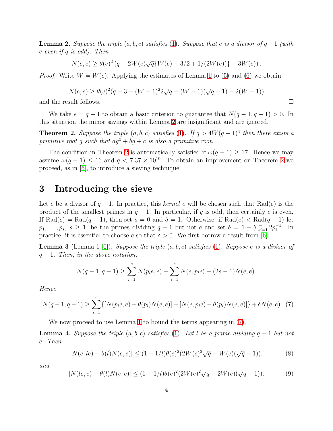<span id="page-3-1"></span>**Lemma 2.** Suppose the triple  $(a, b, c)$  satisfies [\(1\)](#page-1-2). Suppose that e is a divisor of  $q - 1$  (with e *even if* q *is odd). Then*

$$
N(e,e) \geq \theta(e)^2 \left( q - 2 W(e) \sqrt{q} \{ W(e) - 3/2 + 1/(2W(e)) \} - 3 W(e) \right).
$$

*Proof.* Write  $W = W(e)$ . Applying the estimates of Lemma [1](#page-2-1) to [\(5\)](#page-2-2) and [\(6\)](#page-2-0) we obtain

$$
N(e, e) \ge \theta(e)^2(q - 3 - (W - 1)^2 2\sqrt{q} - (W - 1)(\sqrt{q} + 1) - 2(W - 1))
$$

 $\Box$ 

and the result follows.

We take  $e = q - 1$  to obtain a basic criterion to guarantee that  $N(q - 1, q - 1) > 0$ . In this situation the minor savings within Lemma [2](#page-3-1) are insignificant and are ignored.

<span id="page-3-2"></span>**Theorem 2.** Suppose the triple  $(a, b, c)$  satisfies [\(1\)](#page-1-2). If  $q > 4W(q - 1)^4$  then there exists a *primitive root* g *such that*  $ag^2 + bg + c$  *is also a primitive root.* 

The condition in Theorem [2](#page-3-2) is automatically satisfied if  $\omega(q-1) \geq 17$ . Hence we may assume  $\omega(q-1) \leq 16$  and  $q < 7.37 \times 10^{19}$ . To obtain an improvement on Theorem [2](#page-3-2) we proceed, as in [\[6\]](#page-10-0), to introduce a sieving technique.

#### <span id="page-3-0"></span>3 Introducing the sieve

Let e be a divisor of q − 1. In practice, this *kernel* e will be chosen such that Rad(e) is the product of the smallest primes in  $q - 1$ . In particular, if q is odd, then certainly e is even. If  $\text{Rad}(e) = \text{Rad}(q-1)$ , then set  $s = 0$  and  $\delta = 1$ . Otherwise, if  $\text{Rad}(e) < \text{Rad}(q-1)$  let  $p_1, \ldots, p_s, s \geq 1$ , be the primes dividing  $q-1$  but not e and set  $\delta = 1 - \sum_{i=1}^s 2p_i^{-1}$ . In practice, it is essential to choose e so that  $\delta > 0$ . We first borrow a result from [\[6\]](#page-10-0).

Lemma 3 (Lemma 1 [\[6\]](#page-10-0)). *Suppose the triple* (a, b, c) *satisfies* [\(1\)](#page-1-2)*. Suppose* e *is a divisor of* q − 1*. Then, in the above notation,*

$$
N(q-1, q-1) \ge \sum_{i=1}^{s} N(p_i e, e) + \sum_{i=1}^{s} N(e, p_i e) - (2s - 1)N(e, e).
$$

*Hence*

<span id="page-3-3"></span>
$$
N(q-1, q-1) \ge \sum_{i=1}^{s} \{ [N(p_i e, e) - \theta(p_i) N(e, e)] + [N(e, p_i e) - \theta(p_i) N(e, e)] \} + \delta N(e, e). \tag{7}
$$

We now proceed to use Lemma [1](#page-2-1) to bound the terms appearing in [\(7\)](#page-3-3).

<span id="page-3-6"></span>**Lemma 4.** Suppose the triple  $(a, b, c)$  satisfies [\(1\)](#page-1-2). Let l be a prime dividing  $q - 1$  but not e*. Then*

<span id="page-3-4"></span>
$$
|N(e, le) - \theta(l)N(e, e)| \le (1 - 1/l)\theta(e)^{2}(2W(e)^{2}\sqrt{q} - W(e)(\sqrt{q} - 1)).
$$
\n(8)

*and*

<span id="page-3-5"></span>
$$
|N(le, e) - \theta(l)N(e, e)| \le (1 - 1/l)\theta(e)^{2}(2W(e)^{2}\sqrt{q} - 2W(e)(\sqrt{q} - 1)).
$$
 (9)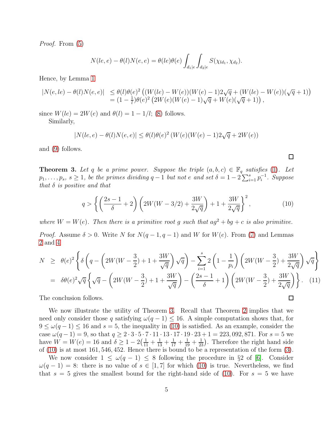*Proof.* From [\(5\)](#page-2-2)

$$
N(le, e) - \theta(l)N(e, e) = \theta(le)\theta(e) \int_{d_1|e} \int_{d_2|e} S(\chi_{ld_1}, \chi_{d_2}).
$$

Hence, by Lemma [1](#page-2-1)

$$
\begin{array}{lll} |N(e,le)-\theta(l)N(e,e)|&\leq \theta(l)\theta(e)^2 \left((W(le)-W(e))(W(e)-1)2\sqrt{q}+(W(le)-W(e))(\sqrt{q}+1)\right)\\&=(1-\frac{1}{l})\theta(e)^2 \left(2W(e)(W(e)-1)\sqrt{q}+W(e)(\sqrt{q}+1)\right), \end{array}
$$

since  $W(le) = 2W(e)$  and  $\theta(l) = 1 - 1/l$ ; [\(8\)](#page-3-4) follows. Similarly,

$$
|N(le,e)-\theta(l)N(e,e)|\leq \theta(l)\theta(e)^2\left(W(e)(W(e)-1)2\sqrt{q}+2W(e)\right)
$$

and [\(9\)](#page-3-5) follows.

<span id="page-4-0"></span>**Theorem 3.** Let q be a prime power. Suppose the triple  $(a, b, c) \in \mathbb{F}_q$  satisfies [\(1\)](#page-1-2). Let  $p_1, \ldots, p_s, s \ge 1$ , be the primes dividing  $q-1$  but not e and set  $\delta = 1 - 2 \sum_{i=1}^s p_i^{-1}$ . Suppose *that* δ *is positive and that*

<span id="page-4-1"></span>
$$
q > \left\{ \left( \frac{2s - 1}{\delta} + 2 \right) \left( 2W(W - 3/2) + \frac{3W}{2\sqrt{q}} \right) + 1 + \frac{3W}{2\sqrt{q}} \right\}^2, \tag{10}
$$

 $\Box$ 

 $\Box$ 

*where*  $W = W(e)$ *. Then there is a primitive root g such that*  $ag^2 + bg + c$  *is also primitive.* 

*Proof.* Assume  $\delta > 0$ . Write N for  $N(q-1, q-1)$  and W for  $W(e)$ . From [\(7\)](#page-3-3) and Lemmas [2](#page-3-1) and [4](#page-3-6)

<span id="page-4-2"></span>
$$
N \geq \theta(e)^2 \left\{ \delta \left( q - \left( 2W(W - \frac{3}{2}) + 1 + \frac{3W}{\sqrt{q}} \right) \sqrt{q} \right) - \sum_{i=1}^s 2 \left( 1 - \frac{1}{p_i} \right) \left( 2W(W - \frac{3}{2}) + \frac{3W}{2\sqrt{q}} \right) \sqrt{q} \right\}
$$
  
=  $\delta \theta(e)^2 \sqrt{q} \left\{ \sqrt{q} - \left( 2W(W - \frac{3}{2}) + 1 + \frac{3W}{\sqrt{q}} \right) - \left( \frac{2s - 1}{\delta} + 1 \right) \left( 2W(W - \frac{3}{2}) + \frac{3W}{2\sqrt{q}} \right) \right\}.$  (11)

The conclusion follows.

We now illustrate the utility of Theorem [3.](#page-4-0) Recall that Theorem [2](#page-3-2) implies that we need only consider those q satisfying  $\omega(q-1) \leq 16$ . A simple computation shows that, for  $9 \leq \omega(q-1) \leq 16$  and  $s=5$ , the inequality in [\(10\)](#page-4-1) is satisfied. As an example, consider the case  $\omega(q-1) = 9$ , so that  $q \ge 2 \cdot 3 \cdot 5 \cdot 7 \cdot 11 \cdot 13 \cdot 17 \cdot 19 \cdot 23 + 1 = 223,092,871$ . For  $s = 5$  we have  $W = W(e) = 16$  and  $\delta \ge 1 - 2(\frac{1}{11} + \frac{1}{13} + \frac{1}{17} + \frac{1}{19} + \frac{1}{23})$ . Therefore the right hand side of [\(10\)](#page-4-1) is at most 161, 546, 452. Hence there is bound to be a representation of the form [\(3\)](#page-1-5).

We now consider  $1 \leq \omega(q-1) \leq 8$  following the procedure in §2 of [\[6\]](#page-10-0). Consider  $\omega(q-1) = 8$ : there is no value of  $s \in [1, 7]$  for which [\(10\)](#page-4-1) is true. Nevertheless, we find that  $s = 5$  gives the smallest bound for the right-hand side of [\(10\)](#page-4-1). For  $s = 5$  we have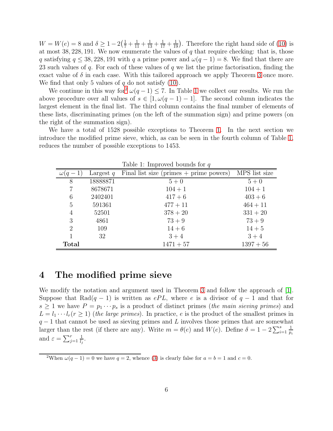$W = W(e) = 8$  and  $\delta \ge 1 - 2(\frac{1}{7} + \frac{1}{11} + \frac{1}{13} + \frac{1}{17} + \frac{1}{19})$ . Therefore the right hand side of [\(10\)](#page-4-1) is at most 38, 228, 191. We now enumerate the values of  $q$  that require checking: that is, those q satisfying  $q \leq 38,228,191$  with q a prime power and  $\omega(q-1) = 8$ . We find that there are 23 such values of q. For each of these values of q we list the prime factorisation, finding the exact value of  $\delta$  in each case. With this tailored approach we apply Theorem [3](#page-4-0) once more. We find that only 5 values of  $q$  do not satisfy [\(10\)](#page-4-1).

We continue in this way for<sup>[2](#page-5-1)</sup>  $\omega(q-1) \leq 7$ . In Table [1](#page-5-2) we collect our results. We run the above procedure over all values of  $s \in [1, \omega(q-1)-1]$ . The second column indicates the largest element in the final list. The third column contains the final number of elements of these lists, discriminating primes (on the left of the summation sign) and prime powers (on the right of the summation sign).

We have a total of 1528 possible exceptions to Theorem [1.](#page-1-3) In the next section we introduce the modified prime sieve, which, as can be seen in the fourth column of Table [1,](#page-5-2) reduces the number of possible exceptions to 1453.

| rable 1. Improved bounds for q |             |                                           |               |  |  |  |  |  |
|--------------------------------|-------------|-------------------------------------------|---------------|--|--|--|--|--|
|                                | Largest $q$ | Final list size (primes $+$ prime powers) | MPS list size |  |  |  |  |  |
| 8                              | 18888871    | $5+0$                                     | $5+0$         |  |  |  |  |  |
| 7                              | 8678671     | $104 + 1$                                 | $104 + 1$     |  |  |  |  |  |
| 6                              | 2402401     | $417+6$                                   | $403 + 6$     |  |  |  |  |  |
| 5                              | 591361      | $477 + 11$                                | $464 + 11$    |  |  |  |  |  |
| 4                              | 52501       | $378 + 20$                                | $331 + 20$    |  |  |  |  |  |
| 3                              | 4861        | $73 + 9$                                  | $73 + 9$      |  |  |  |  |  |
| 2                              | 109         | $14 + 6$                                  | $14 + 5$      |  |  |  |  |  |
|                                | 32          | $3 + 4$                                   | $3 + 4$       |  |  |  |  |  |
| <b>Total</b>                   |             | $1471 + 57$                               | $1397 + 56$   |  |  |  |  |  |

<span id="page-5-2"></span>Table 1: Improved bounds for  $q$ 

#### <span id="page-5-0"></span>4 The modified prime sieve

We modify the notation and argument used in Theorem [3](#page-4-0) and follow the approach of [\[1\]](#page-10-4). Suppose that Rad(q − 1) is written as  $ePL$ , where e is a divisor of q − 1 and that for  $s \geq 1$  we have  $P = p_1 \cdots p_s$  is a product of distinct primes (*the main sieving primes*) and  $L = l_1 \cdots l_r (r \ge 1)$  (*the large primes*). In practice, *e* is the product of the smallest primes in  $q-1$  that cannot be used as sieving primes and L involves those primes that are somewhat larger than the rest (if there are any). Write  $m = \theta(e)$  and  $W(e)$ . Define  $\delta = 1 - 2 \sum_{i=1}^{s}$ 1 pi and  $\varepsilon = \sum_{j=1}^r$ 1  $\frac{1}{l_j}$ .

<span id="page-5-1"></span><sup>&</sup>lt;sup>2</sup>When  $\omega(q-1) = 0$  we have  $q = 2$ , whence [\(3\)](#page-1-5) is clearly false for  $a = b = 1$  and  $c = 0$ .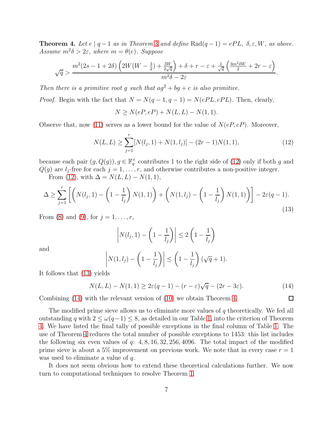<span id="page-6-3"></span>**Theorem 4.** Let  $e \mid q-1$  as in Theorem [3](#page-4-0) and define Rad $(q-1) = ePL$ ,  $\delta, \varepsilon, W$ , as above.  $Assume \; m^2 \delta > 2\varepsilon$ *, where*  $m = \theta(e)$ *. Suppose* 

$$
\sqrt{q} > \frac{m^2(2s - 1 + 2\delta)\left(2W(W - \frac{3}{2}) + \frac{3W}{2\sqrt{q}}\right) + \delta + r - \varepsilon + \frac{1}{\sqrt{q}}\left(\frac{3m^2\delta W}{2} + 2r - \varepsilon\right)}{m^2\delta - 2\varepsilon}.
$$

*Then there is a primitive root* g *such that*  $ag^2 + bg + c$  *is also primitive.* 

*Proof.* Begin with the fact that  $N = N(q-1, q-1) = N(ePL, ePL)$ . Then, clearly,

$$
N \ge N(eP, eP) + N(L, L) - N(1, 1).
$$

Observe that, now [\(11\)](#page-4-2) serves as a lower bound for the value of  $N(eP, eP)$ . Moreover,

<span id="page-6-0"></span>
$$
N(L, L) \ge \sum_{j=1}^{r} [N(l_j, 1) + N(1, l_j)] - (2r - 1)N(1, 1),
$$
\n(12)

because each pair  $(g, Q(g))$ ,  $g \in \mathbb{F}_q^{\times}$  contributes 1 to the right side of [\(12\)](#page-6-0) only if both g and  $Q(g)$  are  $l_i$ -free for each  $j = 1, \ldots, r$ , and otherwise contributes a non-positive integer.

From [\(12\)](#page-6-0), with  $\Delta = N(L, L) - N(1, 1)$ ,

<span id="page-6-1"></span>
$$
\Delta \ge \sum_{j=1}^r \left[ \left( N(l_j, 1) - \left( 1 - \frac{1}{l_j} \right) N(1, 1) \right) + \left( N(1, l_j) - \left( 1 - \frac{1}{l_j} \right) N(1, 1) \right) \right] - 2\varepsilon (q - 1). \tag{13}
$$

From [\(8\)](#page-3-4) and [\(9\)](#page-3-5), for  $j = 1, ..., r$ ,

$$
\left| N(l_j, 1) - \left( 1 - \frac{1}{l_j} \right) \right| \le 2 \left( 1 - \frac{1}{l_j} \right)
$$

and

$$
\left| N(1, l_j) - \left( 1 - \frac{1}{l_j} \right) \right| \le \left( 1 - \frac{1}{l_j} \right) (\sqrt{q} + 1).
$$

It follows that [\(13\)](#page-6-1) yields

<span id="page-6-2"></span>
$$
N(L, L) - N(1, 1) \ge 2\varepsilon(q - 1) - (r - \varepsilon)\sqrt{q} - (2r - 3\varepsilon). \tag{14}
$$

 $\Box$ 

Combining [\(14\)](#page-6-2) with the relevant version of [\(10\)](#page-4-1) we obtain Theorem [4.](#page-6-3)

The modified prime sieve allows us to eliminate more values of q theoretically. We fed all outstanding q with  $2 \leq \omega(q-1) \leq 8$ , as detailed in our Table [1,](#page-5-2) into the criterion of Theorem [4.](#page-6-3) We have listed the final tally of possible exceptions in the final column of Table [1.](#page-5-2) The use of Theorem [4](#page-6-3) reduces the total number of possible exceptions to 1453: this list includes the following six even values of q:  $4, 8, 16, 32, 256, 4096$ . The total impact of the modified prime sieve is about a 5% improvement on previous work. We note that in every case  $r = 1$ was used to eliminate a value of q.

It does not seem obvious how to extend these theoretical calculations further. We now turn to computational techniques to resolve Theorem [1.](#page-1-3)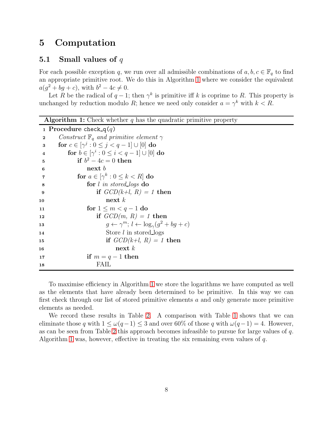### <span id="page-7-0"></span>5 Computation

#### 5.1 Small values of  $q$

For each possible exception q, we run over all admissible combinations of  $a, b, c \in \mathbb{F}_q$  to find an appropriate primitive root. We do this in Algorithm [1](#page-7-1) where we consider the equivalent  $a(g^2 + bg + c)$ , with  $b^2 - 4c \neq 0$ .

Let R be the radical of  $q-1$ ; then  $\gamma^k$  is primitive iff k is coprime to R. This property is unchanged by reduction modulo R; hence we need only consider  $a = \gamma^k$  with  $k < R$ .

**Algorithm 1:** Check whether q has the quadratic primitive property

```
1 Procedure check q(q)2 Construct \mathbb{F}_q and primitive element \gamma3 for c \in [\gamma^j : 0 \le j < q-1] \cup [0] do
 4 for b \in [\gamma^i : 0 \leq i < q-1] \cup [0] do
 5 if b^2 - 4c = 0 then
\mathbf{6} next b
 7 for a \in [\gamma^k : 0 \le k < R] do
8 for l in stored logs do
9 if GCD(k+l, R) = 1 then
10 next k11 for 1 \leq m < q - 1 do
12 if GCD(m, R) = 1 then
13 g \leftarrow \gamma^m; l \leftarrow \log_{\gamma}(g^2 + bg + c)14 Store l in stored logs
15 if GCD(k+l, R) = 1 then
16 next k17 if m = q - 1 then
18 FAIL
```
<span id="page-7-1"></span>To maximise efficiency in Algorithm [1](#page-7-1) we store the logarithms we have computed as well as the elements that have already been determined to be primitive. In this way we can first check through our list of stored primitive elements a and only generate more primitive elements as needed.

We record these results in Table [2.](#page-8-0) A comparison with Table [1](#page-5-2) shows that we can eliminate those q with  $1 \leq \omega(q-1) \leq 3$  and over 60% of those q with  $\omega(q-1) = 4$ . However, as can be seen from Table [2](#page-8-0) this approach becomes infeasible to pursue for large values of q. Algorithm [1](#page-7-1) was, however, effective in treating the six remaining even values of  $q$ .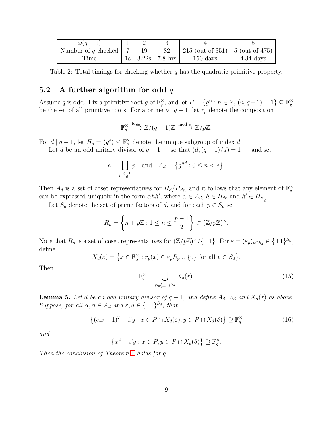| $\omega(q-1)$               |     |                            |                                   |                      |
|-----------------------------|-----|----------------------------|-----------------------------------|----------------------|
| Number of q checked $\vert$ | -19 | 82                         | 215 (out of 351)   5 (out of 475) |                      |
| l'ıme                       |     | $1s$   $3.22s$   $7.8$ hrs | $150 \text{ days}$                | $4.34~\mathrm{days}$ |

<span id="page-8-0"></span>Table 2: Total timings for checking whether  $q$  has the quadratic primitive property.

#### 5.2 A further algorithm for odd  $q$

Assume q is odd. Fix a primitive root g of  $\mathbb{F}_q^{\times}$ , and let  $P = \{g^n : n \in \mathbb{Z}, (n, q-1) = 1\} \subseteq \mathbb{F}_q^{\times}$ be the set of all primitive roots. For a prime  $p \mid q-1$ , let  $r_p$  denote the composition

$$
\mathbb{F}_q^{\times} \xrightarrow{\log_g} \mathbb{Z}/(q-1)\mathbb{Z} \xrightarrow{\text{mod } p} \mathbb{Z}/p\mathbb{Z}.
$$

For  $d | q-1$ , let  $H_d = \langle g^d \rangle \leq \mathbb{F}_q^{\times}$  denote the unique subgroup of index d.

Let d be an odd unitary divisor of  $q - 1$  — so that  $(d, (q - 1)/d) = 1$  — and set

$$
e = \prod_{p \mid \frac{q-1}{d}} p
$$
 and  $A_d = \{g^{nd} : 0 \le n < e\}.$ 

Then  $A_d$  is a set of coset representatives for  $H_d/H_{de}$ , and it follows that any element of  $\mathbb{F}_q^{\times}$ can be expressed uniquely in the form  $\alpha hh'$ , where  $\alpha \in A_d$ ,  $h \in H_{de}$  and  $h' \in H_{\frac{q-1}{d}}$ .

Let  $S_d$  denote the set of prime factors of d, and for each  $p \in S_d$  set

$$
R_p = \left\{ n + p\mathbb{Z} : 1 \le n \le \frac{p-1}{2} \right\} \subset (\mathbb{Z}/p\mathbb{Z})^{\times}.
$$

Note that  $R_p$  is a set of coset representatives for  $(\mathbb{Z}/p\mathbb{Z})^{\times}/\{\pm 1\}$ . For  $\varepsilon = (\varepsilon_p)_{p \in S_d} \in {\{\pm 1\}}^{S_d}$ , define

$$
X_d(\varepsilon) = \left\{ x \in \mathbb{F}_q^{\times} : r_p(x) \in \varepsilon_p R_p \cup \{0\} \text{ for all } p \in S_d \right\}.
$$

Then

<span id="page-8-1"></span>
$$
\mathbb{F}_q^{\times} = \bigcup_{\varepsilon \in \{\pm 1\}^{S_d}} X_d(\varepsilon). \tag{15}
$$

<span id="page-8-3"></span>**Lemma 5.** Let *d* be an odd unitary divisor of  $q - 1$ , and define  $A_d$ ,  $S_d$  and  $X_d(\varepsilon)$  as above. *Suppose, for all*  $\alpha, \beta \in A_d$  *and*  $\varepsilon, \delta \in {\pm 1\}^{S_d}$ *, that* 

<span id="page-8-2"></span>
$$
\{(\alpha x + 1)^2 - \beta y : x \in P \cap X_d(\varepsilon), y \in P \cap X_d(\delta)\} \supseteq \mathbb{F}_q^{\times}
$$
 (16)

*and*

$$
\left\{x^2 - \beta y : x \in P, y \in P \cap X_d(\delta)\right\} \supseteq \mathbb{F}_q^{\times}.
$$

*Then the conclusion of Theorem* [1](#page-1-3) *holds for* q*.*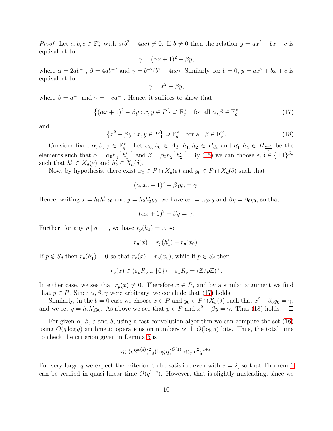*Proof.* Let  $a, b, c \in \mathbb{F}_q^{\times}$  with  $a(b^2 - 4ac) \neq 0$ . If  $b \neq 0$  then the relation  $y = ax^2 + bx + c$  is equivalent to

$$
\gamma = (\alpha x + 1)^2 - \beta y,
$$

where  $\alpha = 2ab^{-1}$ ,  $\beta = 4ab^{-2}$  and  $\gamma = b^{-2}(b^2 - 4ac)$ . Similarly, for  $b = 0$ ,  $y = ax^2 + bx + c$  is equivalent to

$$
\gamma = x^2 - \beta y,
$$

where  $\beta = a^{-1}$  and  $\gamma = -ca^{-1}$ . Hence, it suffices to show that

<span id="page-9-0"></span>
$$
\{(\alpha x + 1)^2 - \beta y : x, y \in P\} \supseteq \mathbb{F}_q^{\times} \quad \text{for all } \alpha, \beta \in \mathbb{F}_q^{\times}
$$
 (17)

and

<span id="page-9-1"></span>
$$
\left\{x^2 - \beta y : x, y \in P\right\} \supseteq \mathbb{F}_q^{\times} \quad \text{for all } \beta \in \mathbb{F}_q^{\times}.
$$
 (18)

Consider fixed  $\alpha, \beta, \gamma \in \mathbb{F}_q^{\times}$ . Let  $\alpha_0, \beta_0 \in A_d$ ,  $h_1, h_2 \in H_{de}$  and  $h'_1, h'_2 \in H_{\frac{q-1}{d}}$  be the elements such that  $\alpha = \alpha_0 h_1^{-1} h_1'^{-1}$  and  $\beta = \beta_0 h_2^{-1} h_2'^{-1}$ . By [\(15\)](#page-8-1) we can choose  $\varepsilon, \delta \in {\pm 1}^{\mathcal{S}_d}$ such that  $h'_1 \in X_d(\varepsilon)$  and  $h'_2 \in X_d(\delta)$ .

Now, by hypothesis, there exist  $x_0 \in P \cap X_d(\varepsilon)$  and  $y_0 \in P \cap X_d(\delta)$  such that

$$
(\alpha_0 x_0 + 1)^2 - \beta_0 y_0 = \gamma.
$$

Hence, writing  $x = h_1 h'_1 x_0$  and  $y = h_2 h'_2 y_0$ , we have  $\alpha x = \alpha_0 x_0$  and  $\beta y = \beta_0 y_0$ , so that

$$
(\alpha x + 1)^2 - \beta y = \gamma.
$$

Further, for any  $p \mid q-1$ , we have  $r_p(h_1) = 0$ , so

$$
r_p(x) = r_p(h'_1) + r_p(x_0).
$$

If  $p \notin S_d$  then  $r_p(h'_1) = 0$  so that  $r_p(x) = r_p(x_0)$ , while if  $p \in S_d$  then

$$
r_p(x) \in (\varepsilon_p R_p \cup \{0\}) + \varepsilon_p R_p = (\mathbb{Z}/p\mathbb{Z})^{\times}.
$$

In either case, we see that  $r_p(x) \neq 0$ . Therefore  $x \in P$ , and by a similar argument we find that  $y \in P$ . Since  $\alpha, \beta, \gamma$  were arbitrary, we conclude that [\(17\)](#page-9-0) holds.

Similarly, in the  $b = 0$  case we choose  $x \in P$  and  $y_0 \in P \cap X_d(\delta)$  such that  $x^2 - \beta_0 y_0 = \gamma$ , and we set  $y = h_2 h_2' y_0$ . As above we see that  $y \in P$  and  $x^2 - \beta y = \gamma$ . Thus [\(18\)](#page-9-1) holds.

For given  $\alpha$ ,  $\beta$ ,  $\varepsilon$  and  $\delta$ , using a fast convolution algorithm we can compute the set [\(16\)](#page-8-2) using  $O(q \log q)$  arithmetic operations on numbers with  $O(\log q)$  bits. Thus, the total time to check the criterion given in Lemma [5](#page-8-3) is

$$
\ll (e^{2^{\omega(d)}})^2 q(\log q)^{O(1)} \ll_{\varepsilon} e^2 q^{1+\varepsilon}.
$$

For very large q we expect the criterion to be satisfied even with  $e = 2$ , so that Theorem [1](#page-1-3) can be verified in quasi-linear time  $O(q^{1+\epsilon})$ . However, that is slightly misleading, since we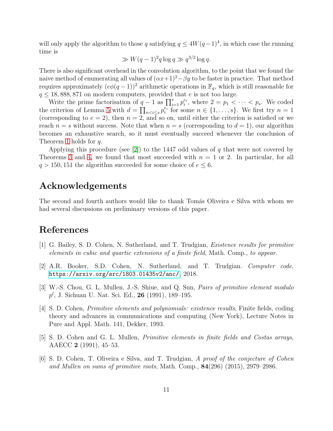will only apply the algorithm to those q satisfying  $q \leq 4W(q-1)^4$ , in which case the running time is

$$
\gg W(q-1)^2 q \log q \gg q^{3/2} \log q.
$$

There is also significant overhead in the convolution algorithm, to the point that we found the naive method of enumerating all values of  $(\alpha x+1)^2-\beta y$  to be faster in practice. That method requires approximately  $(e\phi(q-1))^2$  arithmetic operations in  $\mathbb{F}_q$ , which is still reasonable for  $q \leq 18,888,871$  on modern computers, provided that e is not too large.

Write the prime factorisation of  $q-1$  as  $\prod_{i=1}^s p_i^{e_i}$ , where  $2 = p_1 < \cdots < p_s$ . We coded the criterion of Lemma [5](#page-8-3) with  $d = \prod_{n < i \leq s} p_i^{e_i}$  for some  $n \in \{1, \ldots, s\}$ . We first try  $n = 1$ (corresponding to  $e = 2$ ), then  $n = 2$ , and so on, until either the criterion is satisfied or we reach  $n = s$  without success. Note that when  $n = s$  (corresponding to  $d = 1$ ), our algorithm becomes an exhaustive search, so it must eventually succeed whenever the conclusion of Theorem [1](#page-1-3) holds for q.

Applying this procedure (see [\[2\]](#page-10-5)) to the 1447 odd values of q that were not covered by Theorems [3](#page-4-0) and [4,](#page-6-3) we found that most succeeded with  $n = 1$  or 2. In particular, for all  $q > 150$ , 151 the algorithm succeeded for some choice of  $e \leq 6$ .

## Acknowledgements

The second and fourth authors would like to thank Tomás Oliveira e Silva with whom we had several discussions on preliminary versions of this paper.

### <span id="page-10-4"></span>References

- <span id="page-10-5"></span>[1] G. Bailey, S. D. Cohen, N. Sutherland, and T. Trudgian, *Existence results for primitive elements in cubic and quartic extensions of a finite field*, Math. Comp., *to appear*.
- <span id="page-10-3"></span>[2] A.R. Booker, S.D. Cohen, N. Sutherland, and T. Trudgian. *Computer code*, <https://arxiv.org/src/1803.01435v2/anc/>, 2018.
- <span id="page-10-2"></span>[3] W.-S. Chou, G. L. Mullen, J.-S. Shiue, and Q. Sun, *Pairs of primitive element modulo*  $p^{l}$ , J. Sichuan U. Nat. Sci. Ed., 26 (1991), 189–195.
- [4] S. D. Cohen, *Primitive elements and polynomials: existence results*, Finite fields, coding theory and advances in communications and computing (New York), Lecture Notes in Pure and Appl. Math. 141, Dekker, 1993.
- <span id="page-10-1"></span>[5] S. D. Cohen and G. L. Mullen, *Primitive elements in finite fields and Costas arrays*, AAECC 2 (1991), 45–53.
- <span id="page-10-0"></span>[6] S. D. Cohen, T. Oliveira e Silva, and T. Trudgian, *A proof of the conjecture of Cohen and Mullen on sums of primitive roots*, Math. Comp., 84(296) (2015), 2979–2986.